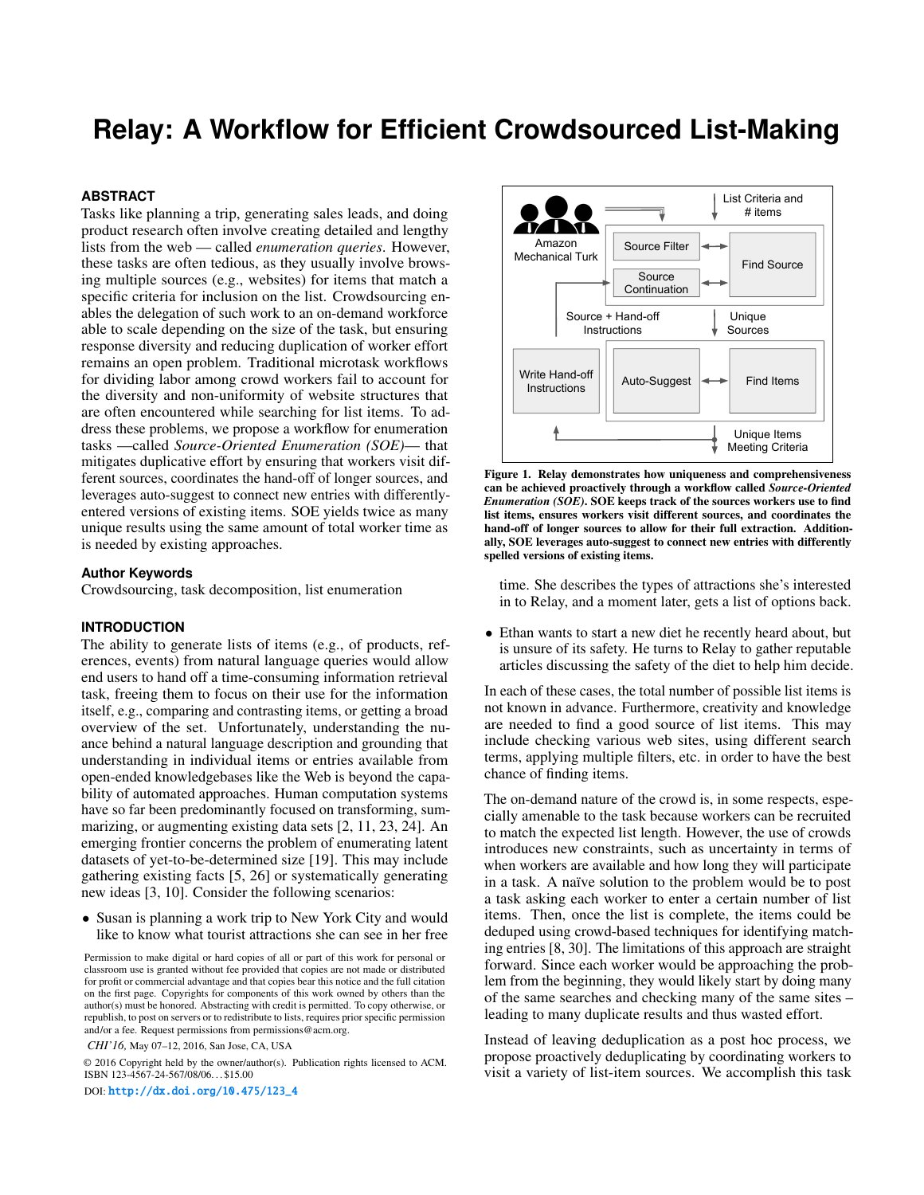# **Relay: A Workflow for Efficient Crowdsourced List-Making**

#### **ABSTRACT**

Tasks like planning a trip, generating sales leads, and doing product research often involve creating detailed and lengthy lists from the web — called *enumeration queries*. However, these tasks are often tedious, as they usually involve browsing multiple sources (e.g., websites) for items that match a specific criteria for inclusion on the list. Crowdsourcing enables the delegation of such work to an on-demand workforce able to scale depending on the size of the task, but ensuring response diversity and reducing duplication of worker effort remains an open problem. Traditional microtask workflows for dividing labor among crowd workers fail to account for the diversity and non-uniformity of website structures that are often encountered while searching for list items. To address these problems, we propose a workflow for enumeration tasks —called *Source-Oriented Enumeration (SOE)*— that mitigates duplicative effort by ensuring that workers visit different sources, coordinates the hand-off of longer sources, and leverages auto-suggest to connect new entries with differentlyentered versions of existing items. SOE yields twice as many unique results using the same amount of total worker time as is needed by existing approaches.

# **Author Keywords**

Crowdsourcing, task decomposition, list enumeration

#### **INTRODUCTION**

The ability to generate lists of items (e.g., of products, references, events) from natural language queries would allow end users to hand off a time-consuming information retrieval task, freeing them to focus on their use for the information itself, e.g., comparing and contrasting items, or getting a broad overview of the set. Unfortunately, understanding the nuance behind a natural language description and grounding that understanding in individual items or entries available from open-ended knowledgebases like the Web is beyond the capability of automated approaches. Human computation systems have so far been predominantly focused on transforming, summarizing, or augmenting existing data sets [\[2,](#page-9-0) [11,](#page-10-0) [23,](#page-10-1) [24\]](#page-10-2). An emerging frontier concerns the problem of enumerating latent datasets of yet-to-be-determined size [\[19\]](#page-10-3). This may include gathering existing facts [\[5,](#page-9-1) [26\]](#page-10-4) or systematically generating new ideas [\[3,](#page-9-2) [10\]](#page-10-5). Consider the following scenarios:

• Susan is planning a work trip to New York City and would like to know what tourist attractions she can see in her free

Permission to make digital or hard copies of all or part of this work for personal or classroom use is granted without fee provided that copies are not made or distributed for profit or commercial advantage and that copies bear this notice and the full citation on the first page. Copyrights for components of this work owned by others than the author(s) must be honored. Abstracting with credit is permitted. To copy otherwise, or republish, to post on servers or to redistribute to lists, requires prior specific permission and/or a fee. Request permissions from permissions@acm.org.

*CHI'16,* May 07–12, 2016, San Jose, CA, USA

© 2016 Copyright held by the owner/author(s). Publication rights licensed to ACM. ISBN 123-4567-24-567/08/06. . . \$15.00

DOI: [http://dx.doi.org/10.475/123\\_4](http://dx.doi.org/10.475/123_4)



<span id="page-0-0"></span>Figure 1. Relay demonstrates how uniqueness and comprehensiveness can be achieved proactively through a workflow called *Source-Oriented Enumeration (SOE)*. SOE keeps track of the sources workers use to find list items, ensures workers visit different sources, and coordinates the hand-off of longer sources to allow for their full extraction. Additionally, SOE leverages auto-suggest to connect new entries with differently spelled versions of existing items.

time. She describes the types of attractions she's interested in to Relay, and a moment later, gets a list of options back.

• Ethan wants to start a new diet he recently heard about, but is unsure of its safety. He turns to Relay to gather reputable articles discussing the safety of the diet to help him decide.

In each of these cases, the total number of possible list items is not known in advance. Furthermore, creativity and knowledge are needed to find a good source of list items. This may include checking various web sites, using different search terms, applying multiple filters, etc. in order to have the best chance of finding items.

The on-demand nature of the crowd is, in some respects, especially amenable to the task because workers can be recruited to match the expected list length. However, the use of crowds introduces new constraints, such as uncertainty in terms of when workers are available and how long they will participate in a task. A naïve solution to the problem would be to post a task asking each worker to enter a certain number of list items. Then, once the list is complete, the items could be deduped using crowd-based techniques for identifying matching entries [\[8,](#page-10-6) [30\]](#page-11-0). The limitations of this approach are straight forward. Since each worker would be approaching the problem from the beginning, they would likely start by doing many of the same searches and checking many of the same sites – leading to many duplicate results and thus wasted effort.

Instead of leaving deduplication as a post hoc process, we propose proactively deduplicating by coordinating workers to visit a variety of list-item sources. We accomplish this task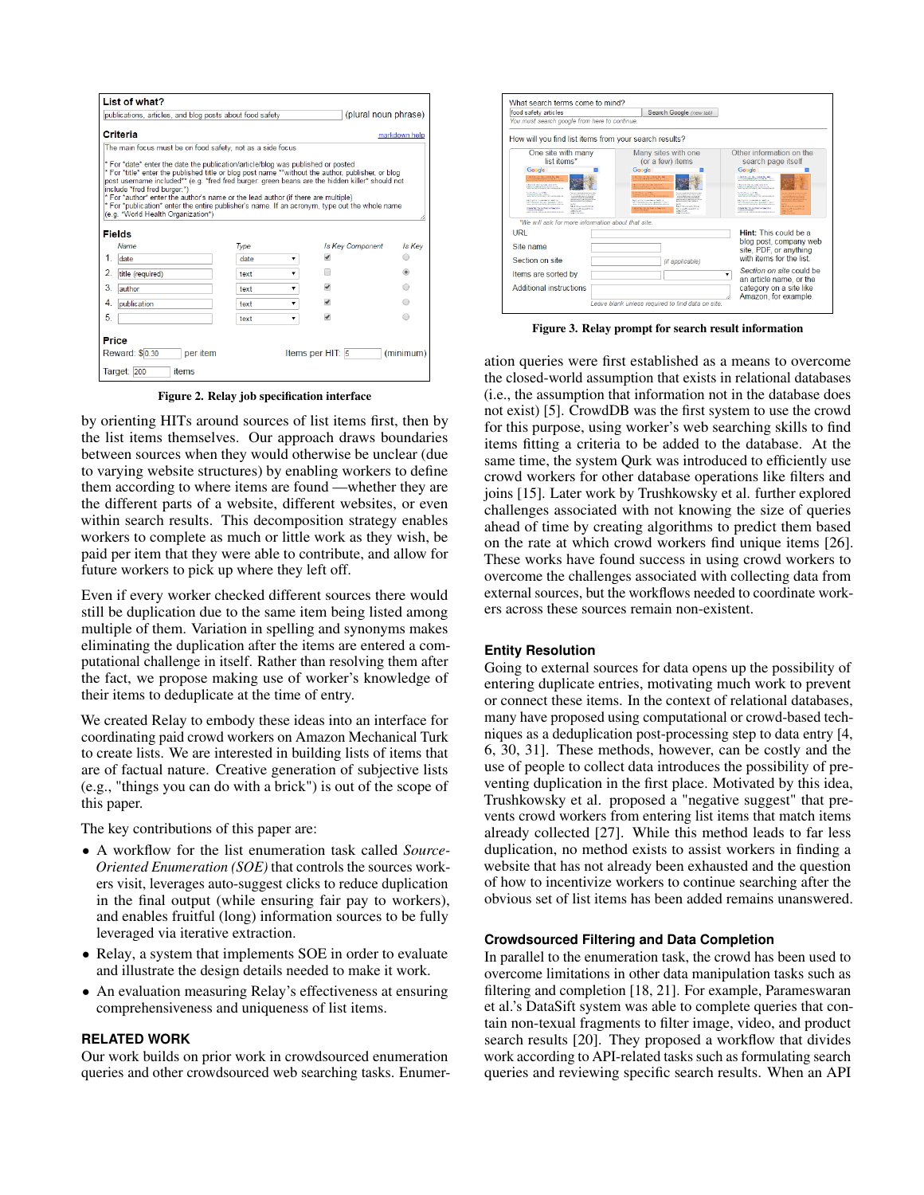| List of what?                                                                                                                                                                                                                                                                                                                                                                                                                                                                                                                                         |            |                          |                |
|-------------------------------------------------------------------------------------------------------------------------------------------------------------------------------------------------------------------------------------------------------------------------------------------------------------------------------------------------------------------------------------------------------------------------------------------------------------------------------------------------------------------------------------------------------|------------|--------------------------|----------------|
| (plural noun phrase)<br>publications, articles, and blog posts about food safety                                                                                                                                                                                                                                                                                                                                                                                                                                                                      |            |                          |                |
| Criteria<br>markdown help                                                                                                                                                                                                                                                                                                                                                                                                                                                                                                                             |            |                          |                |
| The main focus must be on food safety, not as a side focus                                                                                                                                                                                                                                                                                                                                                                                                                                                                                            |            |                          |                |
| * For *date* enter the date the publication/article/blog was published or posted<br>* For *title* enter the published title or blog post name **without the author, publisher, or blog<br>post username included** (e.g. *fred fred burger; green beans are the hidden killer* should not<br>include *fred fred burger:*)<br>* For *author* enter the author's name or the lead author (if there are multiple)<br>* For *publication* enter the entire publisher's name. If an acronym, type out the whole name<br>(e.g. *World Health Organization*) |            |                          |                |
| <b>Fields</b><br><b>Name</b>                                                                                                                                                                                                                                                                                                                                                                                                                                                                                                                          | Type       | <b>Is Kev Component</b>  | Is Kev         |
| 1.<br>date                                                                                                                                                                                                                                                                                                                                                                                                                                                                                                                                            | date<br>۰. | $\overline{\mathcal{L}}$ |                |
| $\mathcal{P}$<br>title (required)                                                                                                                                                                                                                                                                                                                                                                                                                                                                                                                     | text       |                          | $\circledcirc$ |
| 3<br>author                                                                                                                                                                                                                                                                                                                                                                                                                                                                                                                                           | text       | $\overline{\mathcal{L}}$ |                |
| 4.<br>publication                                                                                                                                                                                                                                                                                                                                                                                                                                                                                                                                     | text<br>▼  | $\overline{\mathcal{L}}$ |                |
| 5.                                                                                                                                                                                                                                                                                                                                                                                                                                                                                                                                                    | text       | $\overline{\mathcal{L}}$ |                |
| Price<br>Reward: \$0.30<br>per item<br>Target: 200<br>items                                                                                                                                                                                                                                                                                                                                                                                                                                                                                           |            | Items per HIT: 5         | (minimum)      |

<span id="page-1-0"></span>Figure 2. Relay job specification interface

by orienting HITs around sources of list items first, then by the list items themselves. Our approach draws boundaries between sources when they would otherwise be unclear (due to varying website structures) by enabling workers to define them according to where items are found —whether they are the different parts of a website, different websites, or even within search results. This decomposition strategy enables workers to complete as much or little work as they wish, be paid per item that they were able to contribute, and allow for future workers to pick up where they left off.

Even if every worker checked different sources there would still be duplication due to the same item being listed among multiple of them. Variation in spelling and synonyms makes eliminating the duplication after the items are entered a computational challenge in itself. Rather than resolving them after the fact, we propose making use of worker's knowledge of their items to deduplicate at the time of entry.

We created Relay to embody these ideas into an interface for coordinating paid crowd workers on Amazon Mechanical Turk to create lists. We are interested in building lists of items that are of factual nature. Creative generation of subjective lists (e.g., "things you can do with a brick") is out of the scope of this paper.

The key contributions of this paper are:

- A workflow for the list enumeration task called *Source-Oriented Enumeration (SOE)* that controls the sources workers visit, leverages auto-suggest clicks to reduce duplication in the final output (while ensuring fair pay to workers), and enables fruitful (long) information sources to be fully leveraged via iterative extraction.
- Relay, a system that implements SOE in order to evaluate and illustrate the design details needed to make it work.
- An evaluation measuring Relay's effectiveness at ensuring comprehensiveness and uniqueness of list items.

### **RELATED WORK**

Our work builds on prior work in crowdsourced enumeration queries and other crowdsourced web searching tasks. Enumer-



<span id="page-1-1"></span>Figure 3. Relay prompt for search result information

ation queries were first established as a means to overcome the closed-world assumption that exists in relational databases (i.e., the assumption that information not in the database does not exist) [\[5\]](#page-9-1). CrowdDB was the first system to use the crowd for this purpose, using worker's web searching skills to find items fitting a criteria to be added to the database. At the same time, the system Qurk was introduced to efficiently use crowd workers for other database operations like filters and joins [\[15\]](#page-10-7). Later work by Trushkowsky et al. further explored challenges associated with not knowing the size of queries ahead of time by creating algorithms to predict them based on the rate at which crowd workers find unique items [\[26\]](#page-10-4). These works have found success in using crowd workers to overcome the challenges associated with collecting data from external sources, but the workflows needed to coordinate workers across these sources remain non-existent.

### **Entity Resolution**

Going to external sources for data opens up the possibility of entering duplicate entries, motivating much work to prevent or connect these items. In the context of relational databases, many have proposed using computational or crowd-based techniques as a deduplication post-processing step to data entry [\[4,](#page-9-3) [6,](#page-9-4) [30,](#page-11-0) [31\]](#page-11-1). These methods, however, can be costly and the use of people to collect data introduces the possibility of preventing duplication in the first place. Motivated by this idea, Trushkowsky et al. proposed a "negative suggest" that prevents crowd workers from entering list items that match items already collected [\[27\]](#page-10-8). While this method leads to far less duplication, no method exists to assist workers in finding a website that has not already been exhausted and the question of how to incentivize workers to continue searching after the obvious set of list items has been added remains unanswered.

#### **Crowdsourced Filtering and Data Completion**

In parallel to the enumeration task, the crowd has been used to overcome limitations in other data manipulation tasks such as filtering and completion [\[18,](#page-10-9) [21\]](#page-10-10). For example, Parameswaran et al.'s DataSift system was able to complete queries that contain non-texual fragments to filter image, video, and product search results [\[20\]](#page-10-11). They proposed a workflow that divides work according to API-related tasks such as formulating search queries and reviewing specific search results. When an API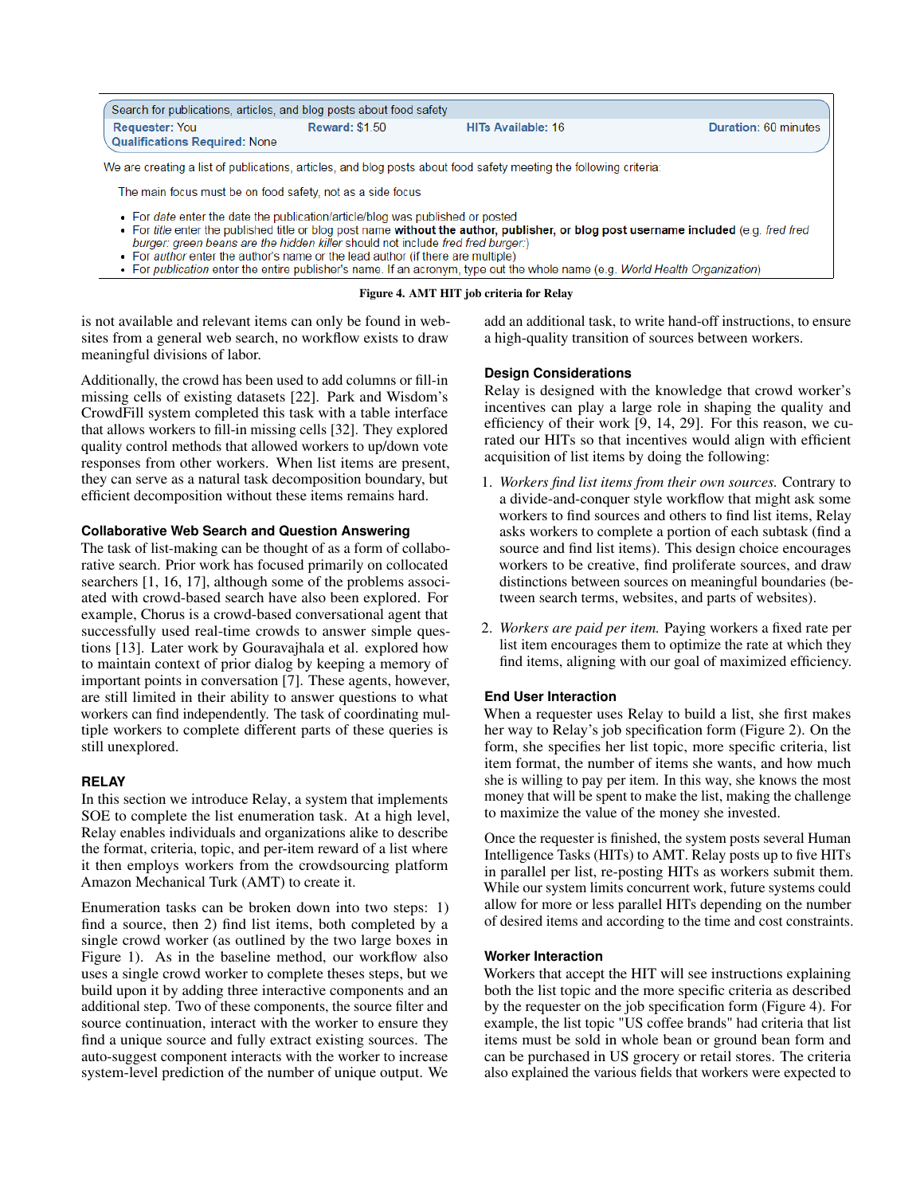| Search for publications, articles, and blog posts about food safety                                                                                                      |                       |                                                                                                                                       |                      |  |
|--------------------------------------------------------------------------------------------------------------------------------------------------------------------------|-----------------------|---------------------------------------------------------------------------------------------------------------------------------------|----------------------|--|
| <b>Requester: You</b><br><b>Qualifications Required: None</b>                                                                                                            | <b>Reward: \$1.50</b> | HITs Available: 16                                                                                                                    | Duration: 60 minutes |  |
|                                                                                                                                                                          |                       |                                                                                                                                       |                      |  |
|                                                                                                                                                                          |                       | We are creating a list of publications, articles, and blog posts about food safety meeting the following criteria:                    |                      |  |
| The main focus must be on food safety, not as a side focus                                                                                                               |                       |                                                                                                                                       |                      |  |
| • For <i>date</i> enter the date the publication/article/blog was published or posted<br>burger: green beans are the hidden killer should not include fred fred burger:) |                       | • For title enter the published title or blog post name without the author, publisher, or blog post username included (e.g. fred fred |                      |  |

- For *author* enter the author's name or the lead author (if there are multiple)
- For publication enter the entire publisher's name. If an acronym, type out the whole name (e.g. World Health Organization)

Figure 4. AMT HIT job criteria for Relay

is not available and relevant items can only be found in websites from a general web search, no workflow exists to draw meaningful divisions of labor.

Additionally, the crowd has been used to add columns or fill-in missing cells of existing datasets [\[22\]](#page-10-12). Park and Wisdom's CrowdFill system completed this task with a table interface that allows workers to fill-in missing cells [\[32\]](#page-11-2). They explored quality control methods that allowed workers to up/down vote responses from other workers. When list items are present, they can serve as a natural task decomposition boundary, but efficient decomposition without these items remains hard.

# **Collaborative Web Search and Question Answering**

The task of list-making can be thought of as a form of collaborative search. Prior work has focused primarily on collocated searchers [\[1,](#page-9-5) [16,](#page-10-13) [17\]](#page-10-14), although some of the problems associated with crowd-based search have also been explored. For example, Chorus is a crowd-based conversational agent that successfully used real-time crowds to answer simple questions [\[13\]](#page-10-15). Later work by Gouravajhala et al. explored how to maintain context of prior dialog by keeping a memory of important points in conversation [\[7\]](#page-9-6). These agents, however, are still limited in their ability to answer questions to what workers can find independently. The task of coordinating multiple workers to complete different parts of these queries is still unexplored.

# **RELAY**

In this section we introduce Relay, a system that implements SOE to complete the list enumeration task. At a high level, Relay enables individuals and organizations alike to describe the format, criteria, topic, and per-item reward of a list where it then employs workers from the crowdsourcing platform Amazon Mechanical Turk (AMT) to create it.

Enumeration tasks can be broken down into two steps: 1) find a source, then 2) find list items, both completed by a single crowd worker (as outlined by the two large boxes in Figure [1\)](#page-0-0). As in the baseline method, our workflow also uses a single crowd worker to complete theses steps, but we build upon it by adding three interactive components and an additional step. Two of these components, the source filter and source continuation, interact with the worker to ensure they find a unique source and fully extract existing sources. The auto-suggest component interacts with the worker to increase system-level prediction of the number of unique output. We

<span id="page-2-0"></span>add an additional task, to write hand-off instructions, to ensure a high-quality transition of sources between workers.

# **Design Considerations**

Relay is designed with the knowledge that crowd worker's incentives can play a large role in shaping the quality and efficiency of their work [\[9,](#page-10-16) [14,](#page-10-17) [29\]](#page-10-18). For this reason, we curated our HITs so that incentives would align with efficient acquisition of list items by doing the following:

- 1. *Workers find list items from their own sources.* Contrary to a divide-and-conquer style workflow that might ask some workers to find sources and others to find list items, Relay asks workers to complete a portion of each subtask (find a source and find list items). This design choice encourages workers to be creative, find proliferate sources, and draw distinctions between sources on meaningful boundaries (between search terms, websites, and parts of websites).
- 2. *Workers are paid per item.* Paying workers a fixed rate per list item encourages them to optimize the rate at which they find items, aligning with our goal of maximized efficiency.

# **End User Interaction**

When a requester uses Relay to build a list, she first makes her way to Relay's job specification form (Figure [2\)](#page-1-0). On the form, she specifies her list topic, more specific criteria, list item format, the number of items she wants, and how much she is willing to pay per item. In this way, she knows the most money that will be spent to make the list, making the challenge to maximize the value of the money she invested.

Once the requester is finished, the system posts several Human Intelligence Tasks (HITs) to AMT. Relay posts up to five HITs in parallel per list, re-posting HITs as workers submit them. While our system limits concurrent work, future systems could allow for more or less parallel HITs depending on the number of desired items and according to the time and cost constraints.

# **Worker Interaction**

Workers that accept the HIT will see instructions explaining both the list topic and the more specific criteria as described by the requester on the job specification form (Figure [4\)](#page-2-0). For example, the list topic "US coffee brands" had criteria that list items must be sold in whole bean or ground bean form and can be purchased in US grocery or retail stores. The criteria also explained the various fields that workers were expected to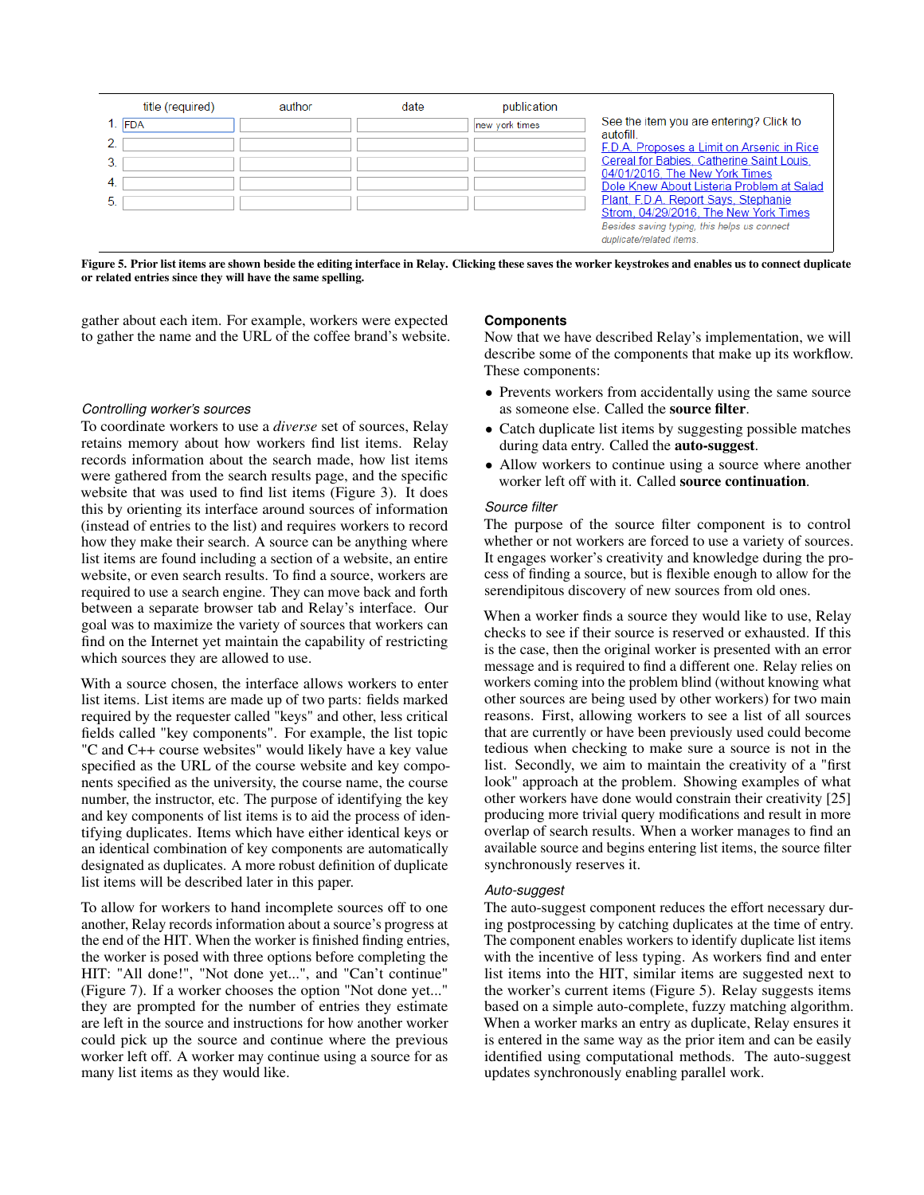| title (required) | author | date | publication    |                                                                                                                                                           |
|------------------|--------|------|----------------|-----------------------------------------------------------------------------------------------------------------------------------------------------------|
| $1.$ FDA         |        |      | new york times | See the item you are entering? Click to                                                                                                                   |
|                  |        |      |                | autofill<br>F.D.A. Proposes a Limit on Arsenic in Rice                                                                                                    |
|                  |        |      |                | Cereal for Babies, Catherine Saint Louis,<br>04/01/2016. The New York Times                                                                               |
| -4.              |        |      |                | Dole Knew About Listeria Problem at Salad                                                                                                                 |
| 5.               |        |      |                | Plant, F.D.A. Report Says, Stephanie<br>Strom, 04/29/2016, The New York Times<br>Besides saving typing, this helps us connect<br>duplicate/related items. |

<span id="page-3-0"></span>Figure 5. Prior list items are shown beside the editing interface in Relay. Clicking these saves the worker keystrokes and enables us to connect duplicate or related entries since they will have the same spelling.

gather about each item. For example, workers were expected to gather the name and the URL of the coffee brand's website.

#### *Controlling worker's sources*

To coordinate workers to use a *diverse* set of sources, Relay retains memory about how workers find list items. Relay records information about the search made, how list items were gathered from the search results page, and the specific website that was used to find list items (Figure [3\)](#page-1-1). It does this by orienting its interface around sources of information (instead of entries to the list) and requires workers to record how they make their search. A source can be anything where list items are found including a section of a website, an entire website, or even search results. To find a source, workers are required to use a search engine. They can move back and forth between a separate browser tab and Relay's interface. Our goal was to maximize the variety of sources that workers can find on the Internet yet maintain the capability of restricting which sources they are allowed to use.

With a source chosen, the interface allows workers to enter list items. List items are made up of two parts: fields marked required by the requester called "keys" and other, less critical fields called "key components". For example, the list topic "C and C++ course websites" would likely have a key value specified as the URL of the course website and key components specified as the university, the course name, the course number, the instructor, etc. The purpose of identifying the key and key components of list items is to aid the process of identifying duplicates. Items which have either identical keys or an identical combination of key components are automatically designated as duplicates. A more robust definition of duplicate list items will be described later in this paper.

To allow for workers to hand incomplete sources off to one another, Relay records information about a source's progress at the end of the HIT. When the worker is finished finding entries, the worker is posed with three options before completing the HIT: "All done!", "Not done yet...", and "Can't continue" (Figure [7\)](#page-5-0). If a worker chooses the option "Not done yet..." they are prompted for the number of entries they estimate are left in the source and instructions for how another worker could pick up the source and continue where the previous worker left off. A worker may continue using a source for as many list items as they would like.

#### **Components**

Now that we have described Relay's implementation, we will describe some of the components that make up its workflow. These components:

- Prevents workers from accidentally using the same source as someone else. Called the source filter.
- Catch duplicate list items by suggesting possible matches during data entry. Called the auto-suggest.
- Allow workers to continue using a source where another worker left off with it. Called source continuation.

#### *Source filter*

The purpose of the source filter component is to control whether or not workers are forced to use a variety of sources. It engages worker's creativity and knowledge during the process of finding a source, but is flexible enough to allow for the serendipitous discovery of new sources from old ones.

When a worker finds a source they would like to use, Relay checks to see if their source is reserved or exhausted. If this is the case, then the original worker is presented with an error message and is required to find a different one. Relay relies on workers coming into the problem blind (without knowing what other sources are being used by other workers) for two main reasons. First, allowing workers to see a list of all sources that are currently or have been previously used could become tedious when checking to make sure a source is not in the list. Secondly, we aim to maintain the creativity of a "first look" approach at the problem. Showing examples of what other workers have done would constrain their creativity [\[25\]](#page-10-19) producing more trivial query modifications and result in more overlap of search results. When a worker manages to find an available source and begins entering list items, the source filter synchronously reserves it.

#### *Auto-suggest*

The auto-suggest component reduces the effort necessary during postprocessing by catching duplicates at the time of entry. The component enables workers to identify duplicate list items with the incentive of less typing. As workers find and enter list items into the HIT, similar items are suggested next to the worker's current items (Figure [5\)](#page-3-0). Relay suggests items based on a simple auto-complete, fuzzy matching algorithm. When a worker marks an entry as duplicate, Relay ensures it is entered in the same way as the prior item and can be easily identified using computational methods. The auto-suggest updates synchronously enabling parallel work.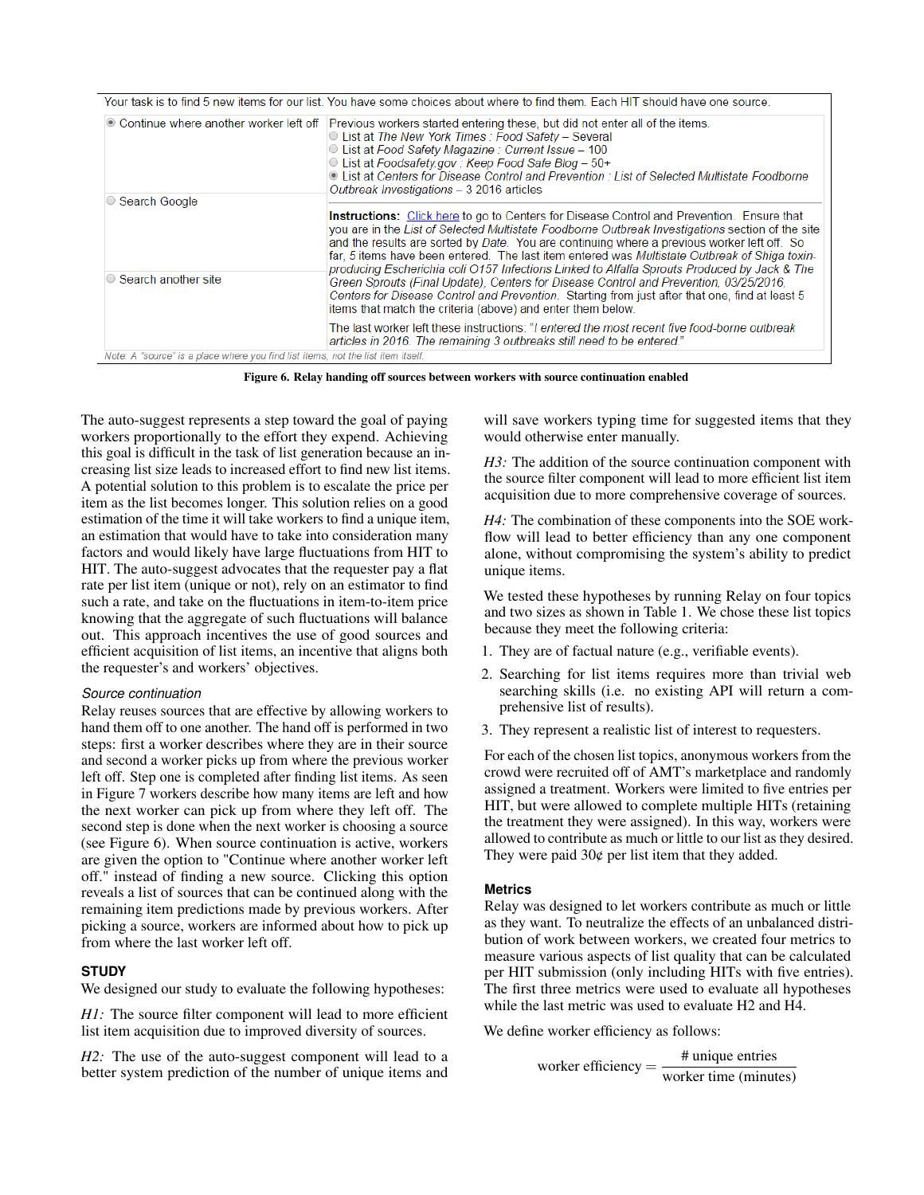|                                                                                  | Your task is to find 5 new items for our list. You have some choices about where to find them. Each HIT should have one source.                                                                                                                                                                                                                                                                                                                                                                                                                                                                                                                                                                                                                               |
|----------------------------------------------------------------------------------|---------------------------------------------------------------------------------------------------------------------------------------------------------------------------------------------------------------------------------------------------------------------------------------------------------------------------------------------------------------------------------------------------------------------------------------------------------------------------------------------------------------------------------------------------------------------------------------------------------------------------------------------------------------------------------------------------------------------------------------------------------------|
| © Continue where another worker left off                                         | Previous workers started entering these, but did not enter all of the items.<br>◯ List at The New York Times : Food Safety – Several<br>○ List at Food Safety Magazine: Current Issue - 100<br>© List at Foodsafety.gov : Keep Food Safe Blog - 50+<br>• List at Centers for Disease Control and Prevention : List of Selected Multistate Foodborne<br>Outbreak Investigations - 3 2016 articles                                                                                                                                                                                                                                                                                                                                                              |
| ○ Search Google                                                                  |                                                                                                                                                                                                                                                                                                                                                                                                                                                                                                                                                                                                                                                                                                                                                               |
| ◯ Search another site                                                            | <b>Instructions:</b> Click here to go to Centers for Disease Control and Prevention. Ensure that<br>you are in the List of Selected Multistate Foodborne Outbreak Investigations section of the site<br>and the results are sorted by Date. You are continuing where a previous worker left off. So<br>far, 5 items have been entered. The last item entered was Multistate Outbreak of Shiga toxin-<br>producing Escherichia coli O157 Infections Linked to Alfalfa Sprouts Produced by Jack & The<br>Green Sprouts (Final Update), Centers for Disease Control and Prevention, 03/25/2016,<br>Centers for Disease Control and Prevention. Starting from just after that one, find at least 5<br>items that match the criteria (above) and enter them below. |
|                                                                                  | The last worker left these instructions: "I entered the most recent five food-borne outbreak<br>articles in 2016. The remaining 3 outbreaks still need to be entered."                                                                                                                                                                                                                                                                                                                                                                                                                                                                                                                                                                                        |
| Note: A "source" is a place where you find list items, not the list item itself. |                                                                                                                                                                                                                                                                                                                                                                                                                                                                                                                                                                                                                                                                                                                                                               |

<span id="page-4-0"></span>Figure 6. Relay handing off sources between workers with source continuation enabled

The auto-suggest represents a step toward the goal of paying workers proportionally to the effort they expend. Achieving this goal is difficult in the task of list generation because an increasing list size leads to increased effort to find new list items. A potential solution to this problem is to escalate the price per item as the list becomes longer. This solution relies on a good estimation of the time it will take workers to find a unique item, an estimation that would have to take into consideration many factors and would likely have large fluctuations from HIT to HIT. The auto-suggest advocates that the requester pay a flat rate per list item (unique or not), rely on an estimator to find such a rate, and take on the fluctuations in item-to-item price knowing that the aggregate of such fluctuations will balance out. This approach incentives the use of good sources and efficient acquisition of list items, an incentive that aligns both the requester's and workers' objectives.

# *Source continuation*

Relay reuses sources that are effective by allowing workers to hand them off to one another. The hand off is performed in two steps: first a worker describes where they are in their source and second a worker picks up from where the previous worker left off. Step one is completed after finding list items. As seen in Figure [7](#page-5-0) workers describe how many items are left and how the next worker can pick up from where they left off. The second step is done when the next worker is choosing a source (see Figure [6\)](#page-4-0). When source continuation is active, workers are given the option to "Continue where another worker left off." instead of finding a new source. Clicking this option reveals a list of sources that can be continued along with the remaining item predictions made by previous workers. After picking a source, workers are informed about how to pick up from where the last worker left off.

# **STUDY**

We designed our study to evaluate the following hypotheses:

*H1*: The source filter component will lead to more efficient list item acquisition due to improved diversity of sources.

*H2:* The use of the auto-suggest component will lead to a better system prediction of the number of unique items and will save workers typing time for suggested items that they would otherwise enter manually.

*H3:* The addition of the source continuation component with the source filter component will lead to more efficient list item acquisition due to more comprehensive coverage of sources.

*H4:* The combination of these components into the SOE workflow will lead to better efficiency than any one component alone, without compromising the system's ability to predict unique items.

We tested these hypotheses by running Relay on four topics and two sizes as shown in Table [1.](#page-5-1) We chose these list topics because they meet the following criteria:

- 1. They are of factual nature (e.g., verifiable events).
- 2. Searching for list items requires more than trivial web searching skills (i.e. no existing API will return a comprehensive list of results).
- 3. They represent a realistic list of interest to requesters.

For each of the chosen list topics, anonymous workers from the crowd were recruited off of AMT's marketplace and randomly assigned a treatment. Workers were limited to five entries per HIT, but were allowed to complete multiple HITs (retaining the treatment they were assigned). In this way, workers were allowed to contribute as much or little to our list as they desired. They were paid  $30¢$  per list item that they added.

# **Metrics**

Relay was designed to let workers contribute as much or little as they want. To neutralize the effects of an unbalanced distribution of work between workers, we created four metrics to measure various aspects of list quality that can be calculated per HIT submission (only including HITs with five entries). The first three metrics were used to evaluate all hypotheses while the last metric was used to evaluate H2 and H4.

We define worker efficiency as follows:

worker efficiency  $=$   $\frac{\text{# unique entries}}{\sqrt{1-\frac{1}{2}} \cdot \frac{1}{2}}$ worker time (minutes)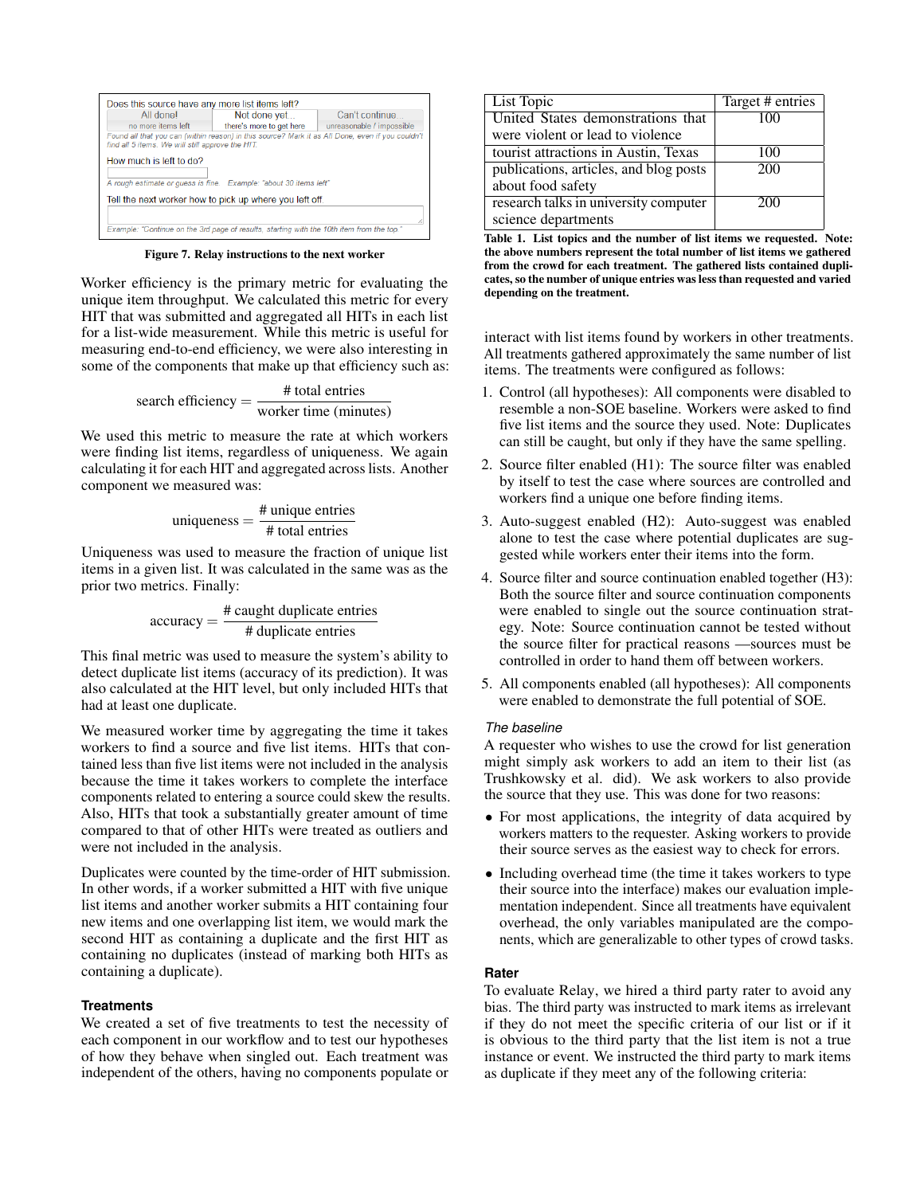| All donel                                                                                                                                            | Can't continue<br>Not done yet                                    |                           |  |
|------------------------------------------------------------------------------------------------------------------------------------------------------|-------------------------------------------------------------------|---------------------------|--|
| no more items left                                                                                                                                   | there's more to get here                                          | unreasonable / impossible |  |
| Found all that you can (within reason) in this source? Mark it as All Done, even if you couldn't<br>find all 5 items. We will still approve the HIT. |                                                                   |                           |  |
| How much is left to do?                                                                                                                              |                                                                   |                           |  |
|                                                                                                                                                      | A rough estimate or quess is fine. Example: "about 30 items left" |                           |  |
|                                                                                                                                                      | Tell the next worker how to pick up where you left off.           |                           |  |
|                                                                                                                                                      |                                                                   |                           |  |
|                                                                                                                                                      |                                                                   |                           |  |

<span id="page-5-0"></span>Figure 7. Relay instructions to the next worker

Worker efficiency is the primary metric for evaluating the unique item throughput. We calculated this metric for every HIT that was submitted and aggregated all HITs in each list for a list-wide measurement. While this metric is useful for measuring end-to-end efficiency, we were also interesting in some of the components that make up that efficiency such as:

search efficiency = 
$$
\frac{\text{# total entries}}{\text{worker time (minutes)}}
$$

We used this metric to measure the rate at which workers were finding list items, regardless of uniqueness. We again calculating it for each HIT and aggregated across lists. Another component we measured was:

uniqueness = 
$$
\frac{\text{\# unique entries}}{\text{\# total entries}}
$$

Uniqueness was used to measure the fraction of unique list items in a given list. It was calculated in the same was as the prior two metrics. Finally:

$$
accuracy = \frac{\# caught duplicate entries}{\# duplicate entries}
$$

This final metric was used to measure the system's ability to detect duplicate list items (accuracy of its prediction). It was also calculated at the HIT level, but only included HITs that had at least one duplicate.

We measured worker time by aggregating the time it takes workers to find a source and five list items. HITs that contained less than five list items were not included in the analysis because the time it takes workers to complete the interface components related to entering a source could skew the results. Also, HITs that took a substantially greater amount of time compared to that of other HITs were treated as outliers and were not included in the analysis.

Duplicates were counted by the time-order of HIT submission. In other words, if a worker submitted a HIT with five unique list items and another worker submits a HIT containing four new items and one overlapping list item, we would mark the second HIT as containing a duplicate and the first HIT as containing no duplicates (instead of marking both HITs as containing a duplicate).

## **Treatments**

We created a set of five treatments to test the necessity of each component in our workflow and to test our hypotheses of how they behave when singled out. Each treatment was independent of the others, having no components populate or

| List Topic                             | Target # entries |
|----------------------------------------|------------------|
| United States demonstrations that      | 100              |
| were violent or lead to violence       |                  |
| tourist attractions in Austin, Texas   | 100              |
| publications, articles, and blog posts | 200              |
| about food safety                      |                  |
| research talks in university computer  | 200              |
| science departments                    |                  |

<span id="page-5-1"></span>Table 1. List topics and the number of list items we requested. Note: the above numbers represent the total number of list items we gathered from the crowd for each treatment. The gathered lists contained duplicates, so the number of unique entries was less than requested and varied depending on the treatment.

interact with list items found by workers in other treatments. All treatments gathered approximately the same number of list items. The treatments were configured as follows:

- 1. Control (all hypotheses): All components were disabled to resemble a non-SOE baseline. Workers were asked to find five list items and the source they used. Note: Duplicates can still be caught, but only if they have the same spelling.
- 2. Source filter enabled (H1): The source filter was enabled by itself to test the case where sources are controlled and workers find a unique one before finding items.
- 3. Auto-suggest enabled (H2): Auto-suggest was enabled alone to test the case where potential duplicates are suggested while workers enter their items into the form.
- 4. Source filter and source continuation enabled together (H3): Both the source filter and source continuation components were enabled to single out the source continuation strategy. Note: Source continuation cannot be tested without the source filter for practical reasons —sources must be controlled in order to hand them off between workers.
- 5. All components enabled (all hypotheses): All components were enabled to demonstrate the full potential of SOE.

### *The baseline*

A requester who wishes to use the crowd for list generation might simply ask workers to add an item to their list (as Trushkowsky et al. did). We ask workers to also provide the source that they use. This was done for two reasons:

- For most applications, the integrity of data acquired by workers matters to the requester. Asking workers to provide their source serves as the easiest way to check for errors.
- Including overhead time (the time it takes workers to type) their source into the interface) makes our evaluation implementation independent. Since all treatments have equivalent overhead, the only variables manipulated are the components, which are generalizable to other types of crowd tasks.

## **Rater**

To evaluate Relay, we hired a third party rater to avoid any bias. The third party was instructed to mark items as irrelevant if they do not meet the specific criteria of our list or if it is obvious to the third party that the list item is not a true instance or event. We instructed the third party to mark items as duplicate if they meet any of the following criteria: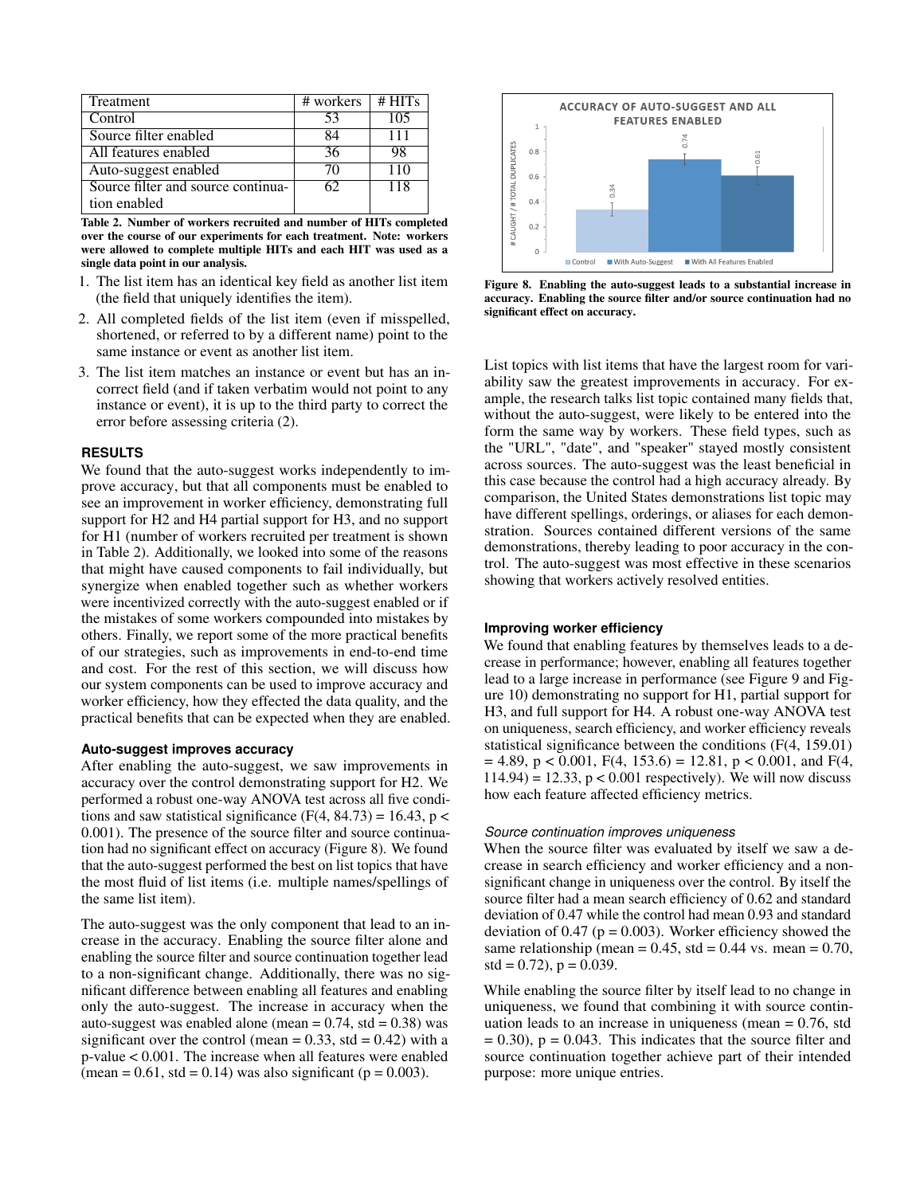| <b>Treatment</b>                   | # workers | # HITs |
|------------------------------------|-----------|--------|
| Control                            | 53        | 105    |
| Source filter enabled              | ۲4        | 111    |
| All features enabled               | 36        | 98     |
| Auto-suggest enabled               | 70        | 110    |
| Source filter and source continua- | 62        | 118    |
| tion enabled                       |           |        |

<span id="page-6-0"></span>Table 2. Number of workers recruited and number of HITs completed over the course of our experiments for each treatment. Note: workers were allowed to complete multiple HITs and each HIT was used as a single data point in our analysis.

- 1. The list item has an identical key field as another list item (the field that uniquely identifies the item).
- 2. All completed fields of the list item (even if misspelled, shortened, or referred to by a different name) point to the same instance or event as another list item.
- 3. The list item matches an instance or event but has an incorrect field (and if taken verbatim would not point to any instance or event), it is up to the third party to correct the error before assessing criteria (2).

# **RESULTS**

We found that the auto-suggest works independently to improve accuracy, but that all components must be enabled to see an improvement in worker efficiency, demonstrating full support for H2 and H4 partial support for H3, and no support for H1 (number of workers recruited per treatment is shown in Table [2\)](#page-6-0). Additionally, we looked into some of the reasons that might have caused components to fail individually, but synergize when enabled together such as whether workers were incentivized correctly with the auto-suggest enabled or if the mistakes of some workers compounded into mistakes by others. Finally, we report some of the more practical benefits of our strategies, such as improvements in end-to-end time and cost. For the rest of this section, we will discuss how our system components can be used to improve accuracy and worker efficiency, how they effected the data quality, and the practical benefits that can be expected when they are enabled.

#### **Auto-suggest improves accuracy**

After enabling the auto-suggest, we saw improvements in accuracy over the control demonstrating support for H2. We performed a robust one-way ANOVA test across all five conditions and saw statistical significance (F(4, 84.73) = 16.43,  $p \lt \theta$ 0.001). The presence of the source filter and source continuation had no significant effect on accuracy (Figure [8\)](#page-6-1). We found that the auto-suggest performed the best on list topics that have the most fluid of list items (i.e. multiple names/spellings of the same list item).

The auto-suggest was the only component that lead to an increase in the accuracy. Enabling the source filter alone and enabling the source filter and source continuation together lead to a non-significant change. Additionally, there was no significant difference between enabling all features and enabling only the auto-suggest. The increase in accuracy when the auto-suggest was enabled alone (mean  $= 0.74$ , std  $= 0.38$ ) was significant over the control (mean =  $0.33$ , std =  $0.42$ ) with a p-value < 0.001. The increase when all features were enabled (mean =  $0.61$ , std =  $0.14$ ) was also significant (p =  $0.003$ ).



<span id="page-6-1"></span>Figure 8. Enabling the auto-suggest leads to a substantial increase in accuracy. Enabling the source filter and/or source continuation had no significant effect on accuracy.

List topics with list items that have the largest room for variability saw the greatest improvements in accuracy. For example, the research talks list topic contained many fields that, without the auto-suggest, were likely to be entered into the form the same way by workers. These field types, such as the "URL", "date", and "speaker" stayed mostly consistent across sources. The auto-suggest was the least beneficial in this case because the control had a high accuracy already. By comparison, the United States demonstrations list topic may have different spellings, orderings, or aliases for each demonstration. Sources contained different versions of the same demonstrations, thereby leading to poor accuracy in the control. The auto-suggest was most effective in these scenarios showing that workers actively resolved entities.

#### **Improving worker efficiency**

We found that enabling features by themselves leads to a decrease in performance; however, enabling all features together lead to a large increase in performance (see Figure [9](#page-7-0) and Figure [10\)](#page-7-1) demonstrating no support for H1, partial support for H3, and full support for H4. A robust one-way ANOVA test on uniqueness, search efficiency, and worker efficiency reveals statistical significance between the conditions (F(4, 159.01)  $= 4.89$ ,  $p < 0.001$ ,  $F(4, 153.6) = 12.81$ ,  $p < 0.001$ , and  $F(4, 153.6) = 12.81$  $114.94$ ) = 12.33, p < 0.001 respectively). We will now discuss how each feature affected efficiency metrics.

#### *Source continuation improves uniqueness*

When the source filter was evaluated by itself we saw a decrease in search efficiency and worker efficiency and a nonsignificant change in uniqueness over the control. By itself the source filter had a mean search efficiency of 0.62 and standard deviation of 0.47 while the control had mean 0.93 and standard deviation of 0.47 ( $p = 0.003$ ). Worker efficiency showed the same relationship (mean =  $0.45$ , std =  $0.44$  vs. mean =  $0.70$ ,  $std = 0.72$ ,  $p = 0.039$ .

While enabling the source filter by itself lead to no change in uniqueness, we found that combining it with source continuation leads to an increase in uniqueness (mean  $= 0.76$ , std  $= 0.30$ ,  $p = 0.043$ . This indicates that the source filter and source continuation together achieve part of their intended purpose: more unique entries.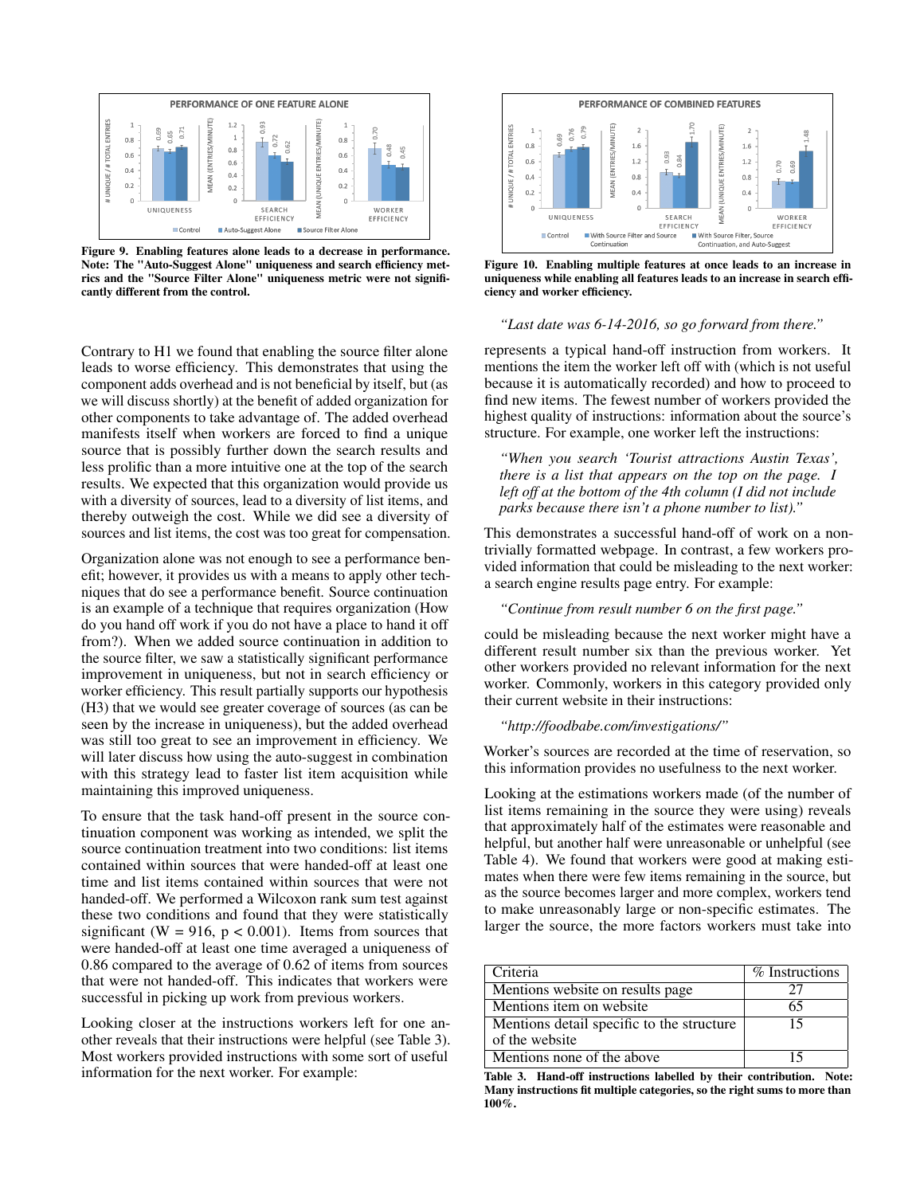

<span id="page-7-0"></span>Figure 9. Enabling features alone leads to a decrease in performance. Note: The "Auto-Suggest Alone" uniqueness and search efficiency metrics and the "Source Filter Alone" uniqueness metric were not significantly different from the control.

Contrary to H1 we found that enabling the source filter alone leads to worse efficiency. This demonstrates that using the component adds overhead and is not beneficial by itself, but (as we will discuss shortly) at the benefit of added organization for other components to take advantage of. The added overhead manifests itself when workers are forced to find a unique source that is possibly further down the search results and less prolific than a more intuitive one at the top of the search results. We expected that this organization would provide us with a diversity of sources, lead to a diversity of list items, and thereby outweigh the cost. While we did see a diversity of sources and list items, the cost was too great for compensation.

Organization alone was not enough to see a performance benefit; however, it provides us with a means to apply other techniques that do see a performance benefit. Source continuation is an example of a technique that requires organization (How do you hand off work if you do not have a place to hand it off from?). When we added source continuation in addition to the source filter, we saw a statistically significant performance improvement in uniqueness, but not in search efficiency or worker efficiency. This result partially supports our hypothesis (H3) that we would see greater coverage of sources (as can be seen by the increase in uniqueness), but the added overhead was still too great to see an improvement in efficiency. We will later discuss how using the auto-suggest in combination with this strategy lead to faster list item acquisition while maintaining this improved uniqueness.

To ensure that the task hand-off present in the source continuation component was working as intended, we split the source continuation treatment into two conditions: list items contained within sources that were handed-off at least one time and list items contained within sources that were not handed-off. We performed a Wilcoxon rank sum test against these two conditions and found that they were statistically significant (W = 916,  $p < 0.001$ ). Items from sources that were handed-off at least one time averaged a uniqueness of 0.86 compared to the average of 0.62 of items from sources that were not handed-off. This indicates that workers were successful in picking up work from previous workers.

Looking closer at the instructions workers left for one another reveals that their instructions were helpful (see Table [3\)](#page-7-2). Most workers provided instructions with some sort of useful information for the next worker. For example:



<span id="page-7-1"></span>Figure 10. Enabling multiple features at once leads to an increase in uniqueness while enabling all features leads to an increase in search efficiency and worker efficiency.

### *"Last date was 6-14-2016, so go forward from there."*

represents a typical hand-off instruction from workers. It mentions the item the worker left off with (which is not useful because it is automatically recorded) and how to proceed to find new items. The fewest number of workers provided the highest quality of instructions: information about the source's structure. For example, one worker left the instructions:

*"When you search 'Tourist attractions Austin Texas', there is a list that appears on the top on the page. I left off at the bottom of the 4th column (I did not include parks because there isn't a phone number to list)."*

This demonstrates a successful hand-off of work on a nontrivially formatted webpage. In contrast, a few workers provided information that could be misleading to the next worker: a search engine results page entry. For example:

# *"Continue from result number 6 on the first page."*

could be misleading because the next worker might have a different result number six than the previous worker. Yet other workers provided no relevant information for the next worker. Commonly, workers in this category provided only their current website in their instructions:

#### *"http://foodbabe.com/investigations/"*

Worker's sources are recorded at the time of reservation, so this information provides no usefulness to the next worker.

Looking at the estimations workers made (of the number of list items remaining in the source they were using) reveals that approximately half of the estimates were reasonable and helpful, but another half were unreasonable or unhelpful (see Table [4\)](#page-8-0). We found that workers were good at making estimates when there were few items remaining in the source, but as the source becomes larger and more complex, workers tend to make unreasonably large or non-specific estimates. The larger the source, the more factors workers must take into

| Criteria                                  | % Instructions |
|-------------------------------------------|----------------|
| Mentions website on results page          |                |
| Mentions item on website.                 | 65             |
| Mentions detail specific to the structure | 15             |
| of the website                            |                |
| Mentions none of the above                | 15             |

<span id="page-7-2"></span>Table 3. Hand-off instructions labelled by their contribution. Note: Many instructions fit multiple categories, so the right sums to more than 100%.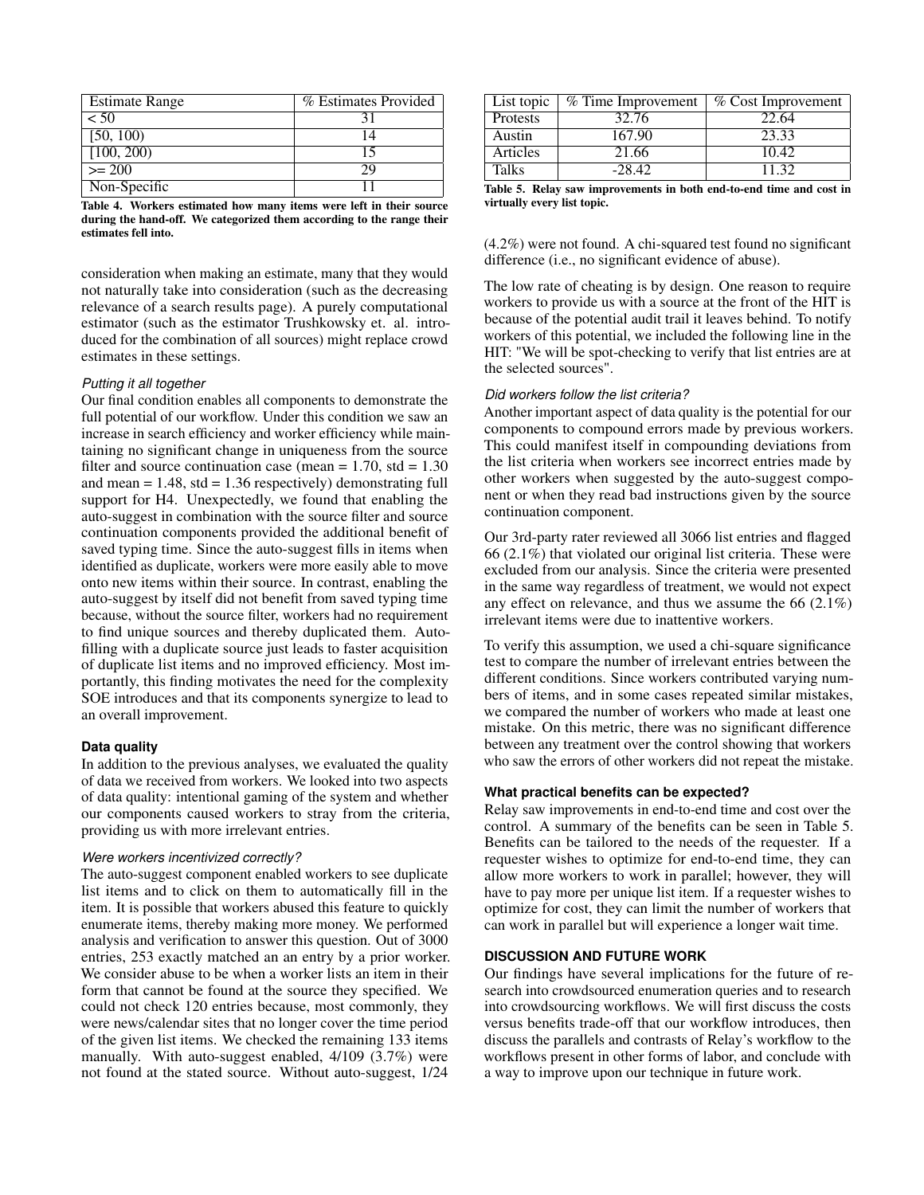| <b>Estimate Range</b> | % Estimates Provided |
|-----------------------|----------------------|
| < 50                  |                      |
| [50, 100)             | $\Lambda$            |
| [100, 200]            |                      |
| $>= 200$              | 29                   |
| Non-Specific          |                      |

<span id="page-8-0"></span>Table 4. Workers estimated how many items were left in their source during the hand-off. We categorized them according to the range their estimates fell into.

consideration when making an estimate, many that they would not naturally take into consideration (such as the decreasing relevance of a search results page). A purely computational estimator (such as the estimator Trushkowsky et. al. introduced for the combination of all sources) might replace crowd estimates in these settings.

### *Putting it all together*

Our final condition enables all components to demonstrate the full potential of our workflow. Under this condition we saw an increase in search efficiency and worker efficiency while maintaining no significant change in uniqueness from the source filter and source continuation case (mean  $= 1.70$ , std  $= 1.30$ ) and mean  $= 1.48$ , std  $= 1.36$  respectively) demonstrating full support for H4. Unexpectedly, we found that enabling the auto-suggest in combination with the source filter and source continuation components provided the additional benefit of saved typing time. Since the auto-suggest fills in items when identified as duplicate, workers were more easily able to move onto new items within their source. In contrast, enabling the auto-suggest by itself did not benefit from saved typing time because, without the source filter, workers had no requirement to find unique sources and thereby duplicated them. Autofilling with a duplicate source just leads to faster acquisition of duplicate list items and no improved efficiency. Most importantly, this finding motivates the need for the complexity SOE introduces and that its components synergize to lead to an overall improvement.

### **Data quality**

In addition to the previous analyses, we evaluated the quality of data we received from workers. We looked into two aspects of data quality: intentional gaming of the system and whether our components caused workers to stray from the criteria, providing us with more irrelevant entries.

### *Were workers incentivized correctly?*

The auto-suggest component enabled workers to see duplicate list items and to click on them to automatically fill in the item. It is possible that workers abused this feature to quickly enumerate items, thereby making more money. We performed analysis and verification to answer this question. Out of 3000 entries, 253 exactly matched an an entry by a prior worker. We consider abuse to be when a worker lists an item in their form that cannot be found at the source they specified. We could not check 120 entries because, most commonly, they were news/calendar sites that no longer cover the time period of the given list items. We checked the remaining 133 items manually. With auto-suggest enabled, 4/109 (3.7%) were not found at the stated source. Without auto-suggest, 1/24

| List topic   | % Time Improvement | % Cost Improvement |
|--------------|--------------------|--------------------|
| Protests     | 32.76              | 22.64              |
| Austin       | 167.90             | 23.33              |
| Articles     | 21.66              | 10.42              |
| <b>Talks</b> | $-28.42$           | 11.32              |

<span id="page-8-1"></span>Table 5. Relay saw improvements in both end-to-end time and cost in virtually every list topic.

(4.2%) were not found. A chi-squared test found no significant difference (i.e., no significant evidence of abuse).

The low rate of cheating is by design. One reason to require workers to provide us with a source at the front of the HIT is because of the potential audit trail it leaves behind. To notify workers of this potential, we included the following line in the HIT: "We will be spot-checking to verify that list entries are at the selected sources".

#### *Did workers follow the list criteria?*

Another important aspect of data quality is the potential for our components to compound errors made by previous workers. This could manifest itself in compounding deviations from the list criteria when workers see incorrect entries made by other workers when suggested by the auto-suggest component or when they read bad instructions given by the source continuation component.

Our 3rd-party rater reviewed all 3066 list entries and flagged 66 (2.1%) that violated our original list criteria. These were excluded from our analysis. Since the criteria were presented in the same way regardless of treatment, we would not expect any effect on relevance, and thus we assume the 66 (2.1%) irrelevant items were due to inattentive workers.

To verify this assumption, we used a chi-square significance test to compare the number of irrelevant entries between the different conditions. Since workers contributed varying numbers of items, and in some cases repeated similar mistakes, we compared the number of workers who made at least one mistake. On this metric, there was no significant difference between any treatment over the control showing that workers who saw the errors of other workers did not repeat the mistake.

### **What practical benefits can be expected?**

Relay saw improvements in end-to-end time and cost over the control. A summary of the benefits can be seen in Table [5.](#page-8-1) Benefits can be tailored to the needs of the requester. If a requester wishes to optimize for end-to-end time, they can allow more workers to work in parallel; however, they will have to pay more per unique list item. If a requester wishes to optimize for cost, they can limit the number of workers that can work in parallel but will experience a longer wait time.

# **DISCUSSION AND FUTURE WORK**

Our findings have several implications for the future of research into crowdsourced enumeration queries and to research into crowdsourcing workflows. We will first discuss the costs versus benefits trade-off that our workflow introduces, then discuss the parallels and contrasts of Relay's workflow to the workflows present in other forms of labor, and conclude with a way to improve upon our technique in future work.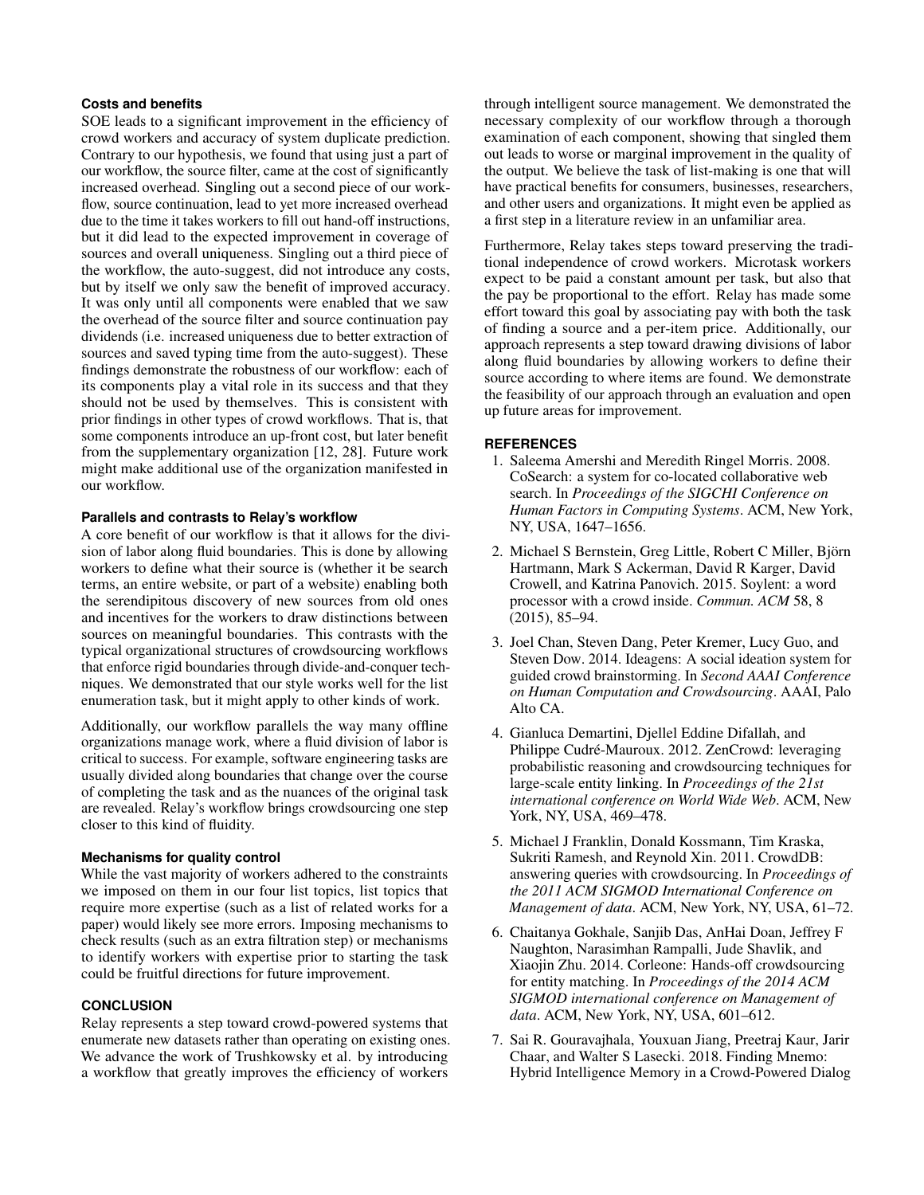# **Costs and benefits**

SOE leads to a significant improvement in the efficiency of crowd workers and accuracy of system duplicate prediction. Contrary to our hypothesis, we found that using just a part of our workflow, the source filter, came at the cost of significantly increased overhead. Singling out a second piece of our workflow, source continuation, lead to yet more increased overhead due to the time it takes workers to fill out hand-off instructions, but it did lead to the expected improvement in coverage of sources and overall uniqueness. Singling out a third piece of the workflow, the auto-suggest, did not introduce any costs, but by itself we only saw the benefit of improved accuracy. It was only until all components were enabled that we saw the overhead of the source filter and source continuation pay dividends (i.e. increased uniqueness due to better extraction of sources and saved typing time from the auto-suggest). These findings demonstrate the robustness of our workflow: each of its components play a vital role in its success and that they should not be used by themselves. This is consistent with prior findings in other types of crowd workflows. That is, that some components introduce an up-front cost, but later benefit from the supplementary organization [\[12,](#page-10-20) [28\]](#page-10-21). Future work might make additional use of the organization manifested in our workflow.

## **Parallels and contrasts to Relay's workflow**

A core benefit of our workflow is that it allows for the division of labor along fluid boundaries. This is done by allowing workers to define what their source is (whether it be search terms, an entire website, or part of a website) enabling both the serendipitous discovery of new sources from old ones and incentives for the workers to draw distinctions between sources on meaningful boundaries. This contrasts with the typical organizational structures of crowdsourcing workflows that enforce rigid boundaries through divide-and-conquer techniques. We demonstrated that our style works well for the list enumeration task, but it might apply to other kinds of work.

Additionally, our workflow parallels the way many offline organizations manage work, where a fluid division of labor is critical to success. For example, software engineering tasks are usually divided along boundaries that change over the course of completing the task and as the nuances of the original task are revealed. Relay's workflow brings crowdsourcing one step closer to this kind of fluidity.

## **Mechanisms for quality control**

While the vast majority of workers adhered to the constraints we imposed on them in our four list topics, list topics that require more expertise (such as a list of related works for a paper) would likely see more errors. Imposing mechanisms to check results (such as an extra filtration step) or mechanisms to identify workers with expertise prior to starting the task could be fruitful directions for future improvement.

# **CONCLUSION**

Relay represents a step toward crowd-powered systems that enumerate new datasets rather than operating on existing ones. We advance the work of Trushkowsky et al. by introducing a workflow that greatly improves the efficiency of workers

through intelligent source management. We demonstrated the necessary complexity of our workflow through a thorough examination of each component, showing that singled them out leads to worse or marginal improvement in the quality of the output. We believe the task of list-making is one that will have practical benefits for consumers, businesses, researchers, and other users and organizations. It might even be applied as a first step in a literature review in an unfamiliar area.

Furthermore, Relay takes steps toward preserving the traditional independence of crowd workers. Microtask workers expect to be paid a constant amount per task, but also that the pay be proportional to the effort. Relay has made some effort toward this goal by associating pay with both the task of finding a source and a per-item price. Additionally, our approach represents a step toward drawing divisions of labor along fluid boundaries by allowing workers to define their source according to where items are found. We demonstrate the feasibility of our approach through an evaluation and open up future areas for improvement.

#### <span id="page-9-5"></span>**REFERENCES**

- 1. Saleema Amershi and Meredith Ringel Morris. 2008. CoSearch: a system for co-located collaborative web search. In *Proceedings of the SIGCHI Conference on Human Factors in Computing Systems*. ACM, New York, NY, USA, 1647–1656.
- <span id="page-9-0"></span>2. Michael S Bernstein, Greg Little, Robert C Miller, Björn Hartmann, Mark S Ackerman, David R Karger, David Crowell, and Katrina Panovich. 2015. Soylent: a word processor with a crowd inside. *Commun. ACM* 58, 8 (2015), 85–94.
- <span id="page-9-2"></span>3. Joel Chan, Steven Dang, Peter Kremer, Lucy Guo, and Steven Dow. 2014. Ideagens: A social ideation system for guided crowd brainstorming. In *Second AAAI Conference on Human Computation and Crowdsourcing*. AAAI, Palo Alto CA.
- <span id="page-9-3"></span>4. Gianluca Demartini, Djellel Eddine Difallah, and Philippe Cudré-Mauroux. 2012. ZenCrowd: leveraging probabilistic reasoning and crowdsourcing techniques for large-scale entity linking. In *Proceedings of the 21st international conference on World Wide Web*. ACM, New York, NY, USA, 469–478.
- <span id="page-9-1"></span>5. Michael J Franklin, Donald Kossmann, Tim Kraska, Sukriti Ramesh, and Reynold Xin. 2011. CrowdDB: answering queries with crowdsourcing. In *Proceedings of the 2011 ACM SIGMOD International Conference on Management of data*. ACM, New York, NY, USA, 61–72.
- <span id="page-9-4"></span>6. Chaitanya Gokhale, Sanjib Das, AnHai Doan, Jeffrey F Naughton, Narasimhan Rampalli, Jude Shavlik, and Xiaojin Zhu. 2014. Corleone: Hands-off crowdsourcing for entity matching. In *Proceedings of the 2014 ACM SIGMOD international conference on Management of data*. ACM, New York, NY, USA, 601–612.
- <span id="page-9-6"></span>7. Sai R. Gouravajhala, Youxuan Jiang, Preetraj Kaur, Jarir Chaar, and Walter S Lasecki. 2018. Finding Mnemo: Hybrid Intelligence Memory in a Crowd-Powered Dialog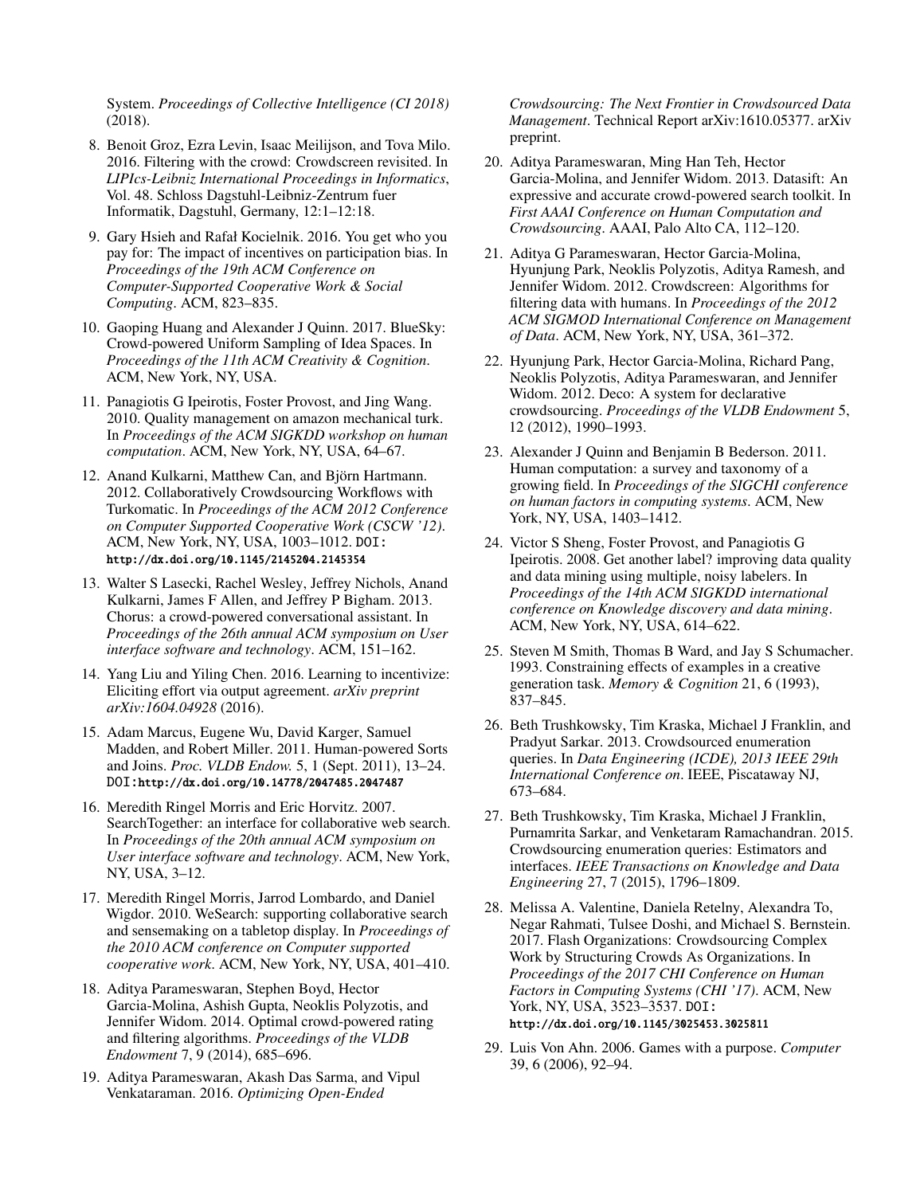System. *Proceedings of Collective Intelligence (CI 2018)* (2018).

- <span id="page-10-6"></span>8. Benoit Groz, Ezra Levin, Isaac Meilijson, and Tova Milo. 2016. Filtering with the crowd: Crowdscreen revisited. In *LIPIcs-Leibniz International Proceedings in Informatics*, Vol. 48. Schloss Dagstuhl-Leibniz-Zentrum fuer Informatik, Dagstuhl, Germany, 12:1–12:18.
- <span id="page-10-16"></span>9. Gary Hsieh and Rafał Kocielnik. 2016. You get who you pay for: The impact of incentives on participation bias. In *Proceedings of the 19th ACM Conference on Computer-Supported Cooperative Work & Social Computing*. ACM, 823–835.
- <span id="page-10-5"></span>10. Gaoping Huang and Alexander J Quinn. 2017. BlueSky: Crowd-powered Uniform Sampling of Idea Spaces. In *Proceedings of the 11th ACM Creativity & Cognition*. ACM, New York, NY, USA.
- <span id="page-10-0"></span>11. Panagiotis G Ipeirotis, Foster Provost, and Jing Wang. 2010. Quality management on amazon mechanical turk. In *Proceedings of the ACM SIGKDD workshop on human computation*. ACM, New York, NY, USA, 64–67.
- <span id="page-10-20"></span>12. Anand Kulkarni, Matthew Can, and Björn Hartmann. 2012. Collaboratively Crowdsourcing Workflows with Turkomatic. In *Proceedings of the ACM 2012 Conference on Computer Supported Cooperative Work (CSCW '12)*. ACM, New York, NY, USA, 1003–1012. DOI: <http://dx.doi.org/10.1145/2145204.2145354>
- <span id="page-10-15"></span>13. Walter S Lasecki, Rachel Wesley, Jeffrey Nichols, Anand Kulkarni, James F Allen, and Jeffrey P Bigham. 2013. Chorus: a crowd-powered conversational assistant. In *Proceedings of the 26th annual ACM symposium on User interface software and technology*. ACM, 151–162.
- <span id="page-10-17"></span>14. Yang Liu and Yiling Chen. 2016. Learning to incentivize: Eliciting effort via output agreement. *arXiv preprint arXiv:1604.04928* (2016).
- <span id="page-10-7"></span>15. Adam Marcus, Eugene Wu, David Karger, Samuel Madden, and Robert Miller. 2011. Human-powered Sorts and Joins. *Proc. VLDB Endow.* 5, 1 (Sept. 2011), 13–24. DOI:<http://dx.doi.org/10.14778/2047485.2047487>
- <span id="page-10-13"></span>16. Meredith Ringel Morris and Eric Horvitz. 2007. SearchTogether: an interface for collaborative web search. In *Proceedings of the 20th annual ACM symposium on User interface software and technology*. ACM, New York, NY, USA, 3–12.
- <span id="page-10-14"></span>17. Meredith Ringel Morris, Jarrod Lombardo, and Daniel Wigdor. 2010. WeSearch: supporting collaborative search and sensemaking on a tabletop display. In *Proceedings of the 2010 ACM conference on Computer supported cooperative work*. ACM, New York, NY, USA, 401–410.
- <span id="page-10-9"></span>18. Aditya Parameswaran, Stephen Boyd, Hector Garcia-Molina, Ashish Gupta, Neoklis Polyzotis, and Jennifer Widom. 2014. Optimal crowd-powered rating and filtering algorithms. *Proceedings of the VLDB Endowment* 7, 9 (2014), 685–696.
- <span id="page-10-3"></span>19. Aditya Parameswaran, Akash Das Sarma, and Vipul Venkataraman. 2016. *Optimizing Open-Ended*

*Crowdsourcing: The Next Frontier in Crowdsourced Data Management*. Technical Report arXiv:1610.05377. arXiv preprint.

- <span id="page-10-11"></span>20. Aditya Parameswaran, Ming Han Teh, Hector Garcia-Molina, and Jennifer Widom. 2013. Datasift: An expressive and accurate crowd-powered search toolkit. In *First AAAI Conference on Human Computation and Crowdsourcing*. AAAI, Palo Alto CA, 112–120.
- <span id="page-10-10"></span>21. Aditya G Parameswaran, Hector Garcia-Molina, Hyunjung Park, Neoklis Polyzotis, Aditya Ramesh, and Jennifer Widom. 2012. Crowdscreen: Algorithms for filtering data with humans. In *Proceedings of the 2012 ACM SIGMOD International Conference on Management of Data*. ACM, New York, NY, USA, 361–372.
- <span id="page-10-12"></span>22. Hyunjung Park, Hector Garcia-Molina, Richard Pang, Neoklis Polyzotis, Aditya Parameswaran, and Jennifer Widom. 2012. Deco: A system for declarative crowdsourcing. *Proceedings of the VLDB Endowment* 5, 12 (2012), 1990–1993.
- <span id="page-10-1"></span>23. Alexander J Quinn and Benjamin B Bederson. 2011. Human computation: a survey and taxonomy of a growing field. In *Proceedings of the SIGCHI conference on human factors in computing systems*. ACM, New York, NY, USA, 1403–1412.
- <span id="page-10-2"></span>24. Victor S Sheng, Foster Provost, and Panagiotis G Ipeirotis. 2008. Get another label? improving data quality and data mining using multiple, noisy labelers. In *Proceedings of the 14th ACM SIGKDD international conference on Knowledge discovery and data mining*. ACM, New York, NY, USA, 614–622.
- <span id="page-10-19"></span>25. Steven M Smith, Thomas B Ward, and Jay S Schumacher. 1993. Constraining effects of examples in a creative generation task. *Memory & Cognition* 21, 6 (1993), 837–845.
- <span id="page-10-4"></span>26. Beth Trushkowsky, Tim Kraska, Michael J Franklin, and Pradyut Sarkar. 2013. Crowdsourced enumeration queries. In *Data Engineering (ICDE), 2013 IEEE 29th International Conference on*. IEEE, Piscataway NJ, 673–684.
- <span id="page-10-8"></span>27. Beth Trushkowsky, Tim Kraska, Michael J Franklin, Purnamrita Sarkar, and Venketaram Ramachandran. 2015. Crowdsourcing enumeration queries: Estimators and interfaces. *IEEE Transactions on Knowledge and Data Engineering* 27, 7 (2015), 1796–1809.
- <span id="page-10-21"></span>28. Melissa A. Valentine, Daniela Retelny, Alexandra To, Negar Rahmati, Tulsee Doshi, and Michael S. Bernstein. 2017. Flash Organizations: Crowdsourcing Complex Work by Structuring Crowds As Organizations. In *Proceedings of the 2017 CHI Conference on Human Factors in Computing Systems (CHI '17)*. ACM, New York, NY, USA, 3523–3537. DOI: <http://dx.doi.org/10.1145/3025453.3025811>
- <span id="page-10-18"></span>29. Luis Von Ahn. 2006. Games with a purpose. *Computer* 39, 6 (2006), 92–94.